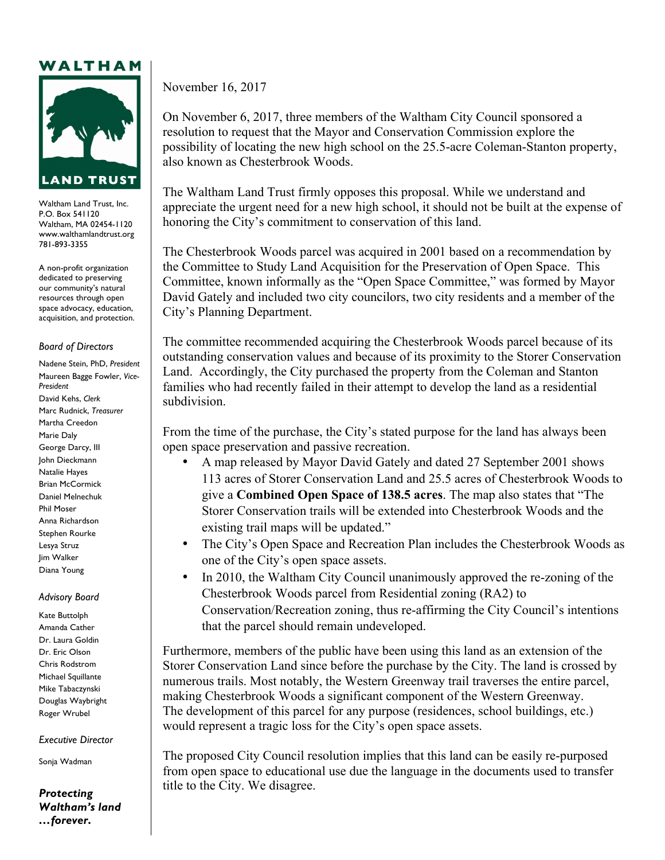## WALTHAM



Waltham Land Trust, Inc. P.O. Box 541120 Waltham, MA 02454-1120 www.walthamlandtrust.org 781-893-3355

A non-profit organization dedicated to preserving our community's natural resources through open space advocacy, education, acquisition, and protection.

## *Board of Directors*

Nadene Stein, PhD, *President* Maureen Bagge Fowler, *Vice-President* David Kehs, *Clerk* Marc Rudnick, *Treasurer* Martha Creedon Marie Daly George Darcy, III John Dieckmann Natalie Hayes Brian McCormick Daniel Melnechuk Phil Moser Anna Richardson Stephen Rourke Lesya Struz Jim Walker Diana Young

## *Advisory Board*

Kate Buttolph Amanda Cather Dr. Laura Goldin Dr. Eric Olson Chris Rodstrom Michael Squillante Mike Tabaczynski Douglas Waybright Roger Wrubel

*Executive Director*

Sonja Wadman

*Protecting Waltham's land …forever***.**

November 16, 2017

On November 6, 2017, three members of the Waltham City Council sponsored a resolution to request that the Mayor and Conservation Commission explore the possibility of locating the new high school on the 25.5-acre Coleman-Stanton property, also known as Chesterbrook Woods.

The Waltham Land Trust firmly opposes this proposal. While we understand and appreciate the urgent need for a new high school, it should not be built at the expense of honoring the City's commitment to conservation of this land.

The Chesterbrook Woods parcel was acquired in 2001 based on a recommendation by the Committee to Study Land Acquisition for the Preservation of Open Space. This Committee, known informally as the "Open Space Committee," was formed by Mayor David Gately and included two city councilors, two city residents and a member of the City's Planning Department.

The committee recommended acquiring the Chesterbrook Woods parcel because of its outstanding conservation values and because of its proximity to the Storer Conservation Land. Accordingly, the City purchased the property from the Coleman and Stanton families who had recently failed in their attempt to develop the land as a residential subdivision.

From the time of the purchase, the City's stated purpose for the land has always been open space preservation and passive recreation.

- A map released by Mayor David Gately and dated 27 September 2001 shows 113 acres of Storer Conservation Land and 25.5 acres of Chesterbrook Woods to give a **Combined Open Space of 138.5 acres**. The map also states that "The Storer Conservation trails will be extended into Chesterbrook Woods and the existing trail maps will be updated."
- The City's Open Space and Recreation Plan includes the Chesterbrook Woods as one of the City's open space assets.
- In 2010, the Waltham City Council unanimously approved the re-zoning of the Chesterbrook Woods parcel from Residential zoning (RA2) to Conservation/Recreation zoning, thus re-affirming the City Council's intentions that the parcel should remain undeveloped.

Furthermore, members of the public have been using this land as an extension of the Storer Conservation Land since before the purchase by the City. The land is crossed by numerous trails. Most notably, the Western Greenway trail traverses the entire parcel, making Chesterbrook Woods a significant component of the Western Greenway. The development of this parcel for any purpose (residences, school buildings, etc.) would represent a tragic loss for the City's open space assets.

The proposed City Council resolution implies that this land can be easily re-purposed from open space to educational use due the language in the documents used to transfer title to the City. We disagree.